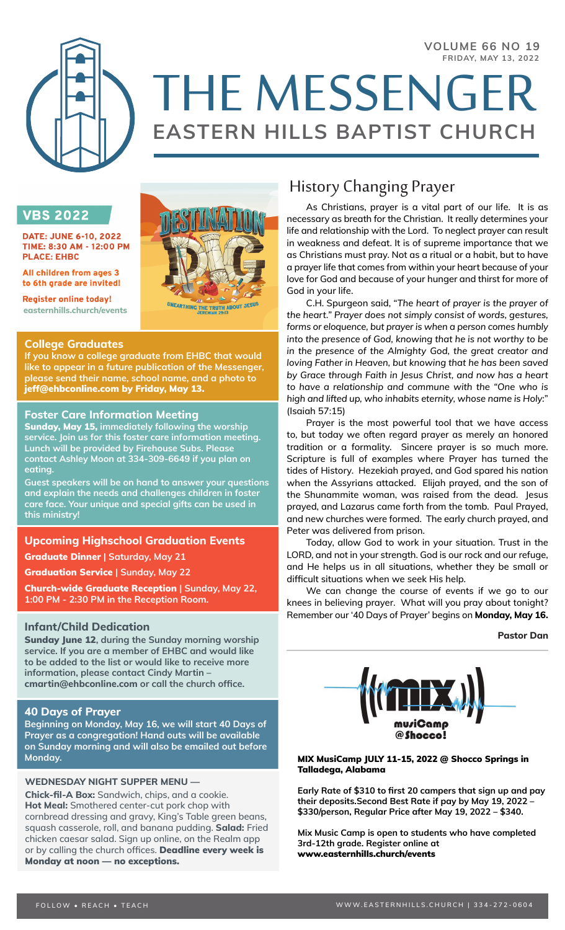#### **VOLUME 66 NO 19 FRIDAY, MAY 13, 2022**



# THE MESSENGER **EASTERN HILLS BAPTIST CHURCH**

# **VBS 2022**

**DATE: JUNE 6-10, 2022** TIME: 8:30 AM - 12:00 PM **PLACE: EHBC** 

All children from ages 3 to 6th grade are invited!

**Register online today! easternhills.church/events**

# **College Graduates**

**If you know a college graduate from EHBC that would like to appear in a future publication of the Messenger, please send their name, school name, and a photo to**  jeff@ehbconline.com by Friday, May 13.

**UNEARTHING THE TRUTH ABOUT JESUS** 

# **Foster Care Information Meeting**

Sunday, May 15, **immediately following the worship service. Join us for this foster care information meeting. Lunch will be provided by Firehouse Subs. Please contact Ashley Moon at 334-309-6649 if you plan on eating.**

**Guest speakers will be on hand to answer your questions and explain the needs and challenges children in foster care face. Your unique and special gifts can be used in this ministry!**

# **Upcoming Highschool Graduation Events**

Graduate Dinner **| Saturday, May 21**

Graduation Service **| Sunday, May 22**

Church-wide Graduate Reception **| Sunday, May 22, 1:00 PM - 2:30 PM in the Reception Room.**

# **Infant/Child Dedication**

Sunday June 12**, during the Sunday morning worship service. If you are a member of EHBC and would like to be added to the list or would like to receive more information, please contact Cindy Martin – cmartin@ehbconline.com or call the church office.** 

# **40 Days of Prayer**

**Beginning on Monday, May 16, we will start 40 Days of Prayer as a congregation! Hand outs will be available on Sunday morning and will also be emailed out before Monday.**

# **WEDNESDAY NIGHT SUPPER MENU —**

**Chick-fil-A Box:** Sandwich, chips, and a cookie. **Hot Meal:** Smothered center-cut pork chop with cornbread dressing and gravy, King's Table green beans, squash casserole, roll, and banana pudding. **Salad:** Fried chicken caesar salad. Sign up online, on the Realm app or by calling the church offices. Deadline every week is Monday at noon — no exceptions.

# History Changing Prayer

As Christians, prayer is a vital part of our life. It is as necessary as breath for the Christian. It really determines your life and relationship with the Lord. To neglect prayer can result in weakness and defeat. It is of supreme importance that we as Christians must pray. Not as a ritual or a habit, but to have a prayer life that comes from within your heart because of your love for God and because of your hunger and thirst for more of God in your life.

C.H. Spurgeon said, "*The heart of prayer is the prayer of the heart." Prayer does not simply consist of words, gestures, forms or eloquence, but prayer is when a person comes humbly into the presence of God, knowing that he is not worthy to be in the presence of the Almighty God, the great creator and loving Father in Heaven, but knowing that he has been saved by Grace through Faith in Jesus Christ, and now has a heart to have a relationship and commune with the "One who is high and lifted up, who inhabits eternity, whose name is Holy:*" (Isaiah 57:15)

Prayer is the most powerful tool that we have access to, but today we often regard prayer as merely an honored tradition or a formality. Sincere prayer is so much more. Scripture is full of examples where Prayer has turned the tides of History. Hezekiah prayed, and God spared his nation when the Assyrians attacked. Elijah prayed, and the son of the Shunammite woman, was raised from the dead. Jesus prayed, and Lazarus came forth from the tomb. Paul Prayed, and new churches were formed. The early church prayed, and Peter was delivered from prison.

Today, allow God to work in your situation. Trust in the LORD, and not in your strength. God is our rock and our refuge, and He helps us in all situations, whether they be small or difficult situations when we seek His help.

We can change the course of events if we go to our knees in believing prayer. What will you pray about tonight? Remember our '40 Days of Prayer' begins on **Monday, May 16.**

**Pastor Dan**



# MIX MusiCamp JULY 11-15, 2022 @ Shocco Springs in Talladega, Alabama

**Early Rate of \$310 to first 20 campers that sign up and pay their deposits.Second Best Rate if pay by May 19, 2022 – \$330/person, Regular Price after May 19, 2022 – \$340.**

**Mix Music Camp is open to students who have completed 3rd-12th grade. Register online at** www.easternhills.church/events